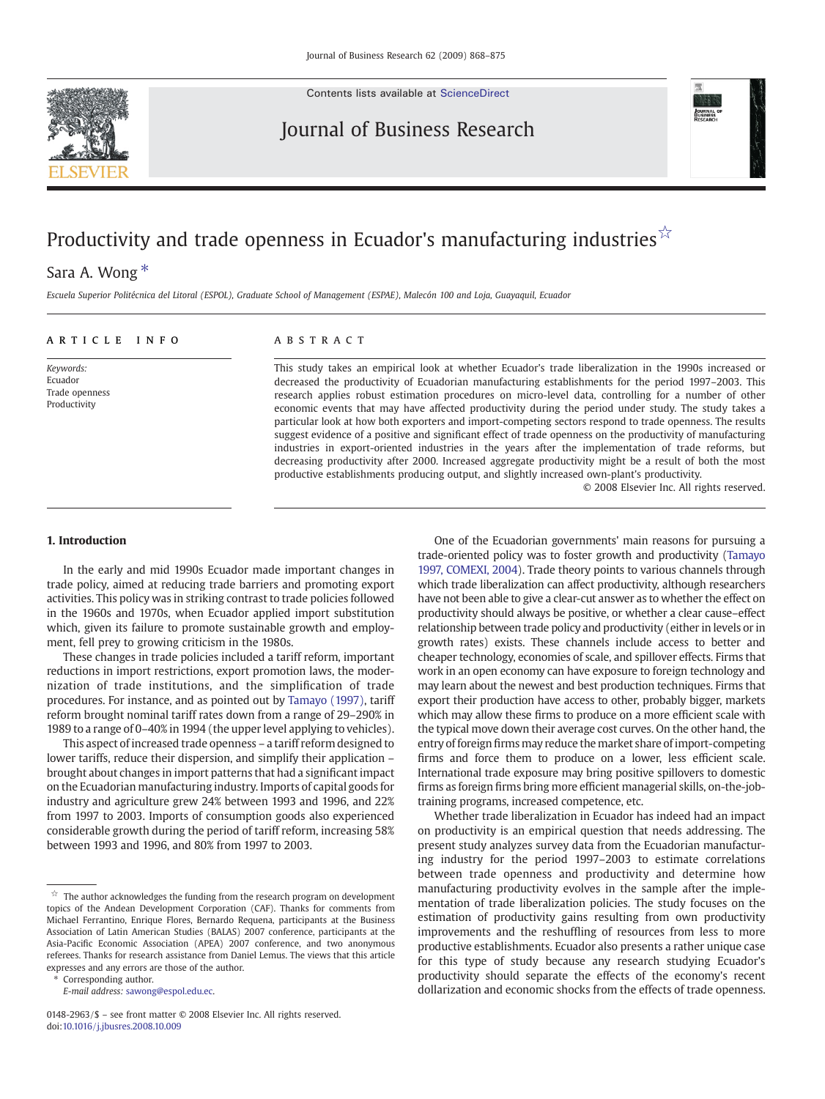Contents lists available at [ScienceDirect](http://www.sciencedirect.com/science/journal/01482963)

## Journal of Business Research



# Productivity and trade openness in Ecuador's manufacturing industries  $\hat{X}$

### Sara A. Wong  $*$

Escuela Superior Politécnica del Litoral (ESPOL), Graduate School of Management (ESPAE), Malecón 100 and Loja, Guayaquil, Ecuador

### article info abstract

Keywords: Ecuador Trade openness Productivity

This study takes an empirical look at whether Ecuador's trade liberalization in the 1990s increased or decreased the productivity of Ecuadorian manufacturing establishments for the period 1997–2003. This research applies robust estimation procedures on micro-level data, controlling for a number of other economic events that may have affected productivity during the period under study. The study takes a particular look at how both exporters and import-competing sectors respond to trade openness. The results suggest evidence of a positive and significant effect of trade openness on the productivity of manufacturing industries in export-oriented industries in the years after the implementation of trade reforms, but decreasing productivity after 2000. Increased aggregate productivity might be a result of both the most productive establishments producing output, and slightly increased own-plant's productivity.

© 2008 Elsevier Inc. All rights reserved.

### 1. Introduction

In the early and mid 1990s Ecuador made important changes in trade policy, aimed at reducing trade barriers and promoting export activities. This policy was in striking contrast to trade policies followed in the 1960s and 1970s, when Ecuador applied import substitution which, given its failure to promote sustainable growth and employment, fell prey to growing criticism in the 1980s.

These changes in trade policies included a tariff reform, important reductions in import restrictions, export promotion laws, the modernization of trade institutions, and the simplification of trade procedures. For instance, and as pointed out by [Tamayo \(1997\),](#page--1-0) tariff reform brought nominal tariff rates down from a range of 29–290% in 1989 to a range of 0–40% in 1994 (the upper level applying to vehicles).

This aspect of increased trade openness – a tariff reform designed to lower tariffs, reduce their dispersion, and simplify their application – brought about changes in import patterns that had a significant impact on the Ecuadorian manufacturing industry. Imports of capital goods for industry and agriculture grew 24% between 1993 and 1996, and 22% from 1997 to 2003. Imports of consumption goods also experienced considerable growth during the period of tariff reform, increasing 58% between 1993 and 1996, and 80% from 1997 to 2003.

One of the Ecuadorian governments' main reasons for pursuing a trade-oriented policy was to foster growth and productivity [\(Tamayo](#page--1-0) [1997, COMEXI, 2004\)](#page--1-0). Trade theory points to various channels through which trade liberalization can affect productivity, although researchers have not been able to give a clear-cut answer as to whether the effect on productivity should always be positive, or whether a clear cause–effect relationship between trade policy and productivity (either in levels or in growth rates) exists. These channels include access to better and cheaper technology, economies of scale, and spillover effects. Firms that work in an open economy can have exposure to foreign technology and may learn about the newest and best production techniques. Firms that export their production have access to other, probably bigger, markets which may allow these firms to produce on a more efficient scale with the typical move down their average cost curves. On the other hand, the entry of foreign firms may reduce the market share of import-competing firms and force them to produce on a lower, less efficient scale. International trade exposure may bring positive spillovers to domestic firms as foreign firms bring more efficient managerial skills, on-the-jobtraining programs, increased competence, etc.

Whether trade liberalization in Ecuador has indeed had an impact on productivity is an empirical question that needs addressing. The present study analyzes survey data from the Ecuadorian manufacturing industry for the period 1997–2003 to estimate correlations between trade openness and productivity and determine how manufacturing productivity evolves in the sample after the implementation of trade liberalization policies. The study focuses on the estimation of productivity gains resulting from own productivity improvements and the reshuffling of resources from less to more productive establishments. Ecuador also presents a rather unique case for this type of study because any research studying Ecuador's productivity should separate the effects of the economy's recent dollarization and economic shocks from the effects of trade openness.

 $\stackrel{\leftrightarrow}{\sim}$  The author acknowledges the funding from the research program on development topics of the Andean Development Corporation (CAF). Thanks for comments from Michael Ferrantino, Enrique Flores, Bernardo Requena, participants at the Business Association of Latin American Studies (BALAS) 2007 conference, participants at the Asia-Pacific Economic Association (APEA) 2007 conference, and two anonymous referees. Thanks for research assistance from Daniel Lemus. The views that this article expresses and any errors are those of the author.

Corresponding author.

E-mail address: [sawong@espol.edu.ec.](mailto:sawong@espol.edu.ec)

<sup>0148-2963/\$</sup> – see front matter © 2008 Elsevier Inc. All rights reserved. doi[:10.1016/j.jbusres.2008.10.009](http://dx.doi.org/10.1016/j.jbusres.2008.10.009)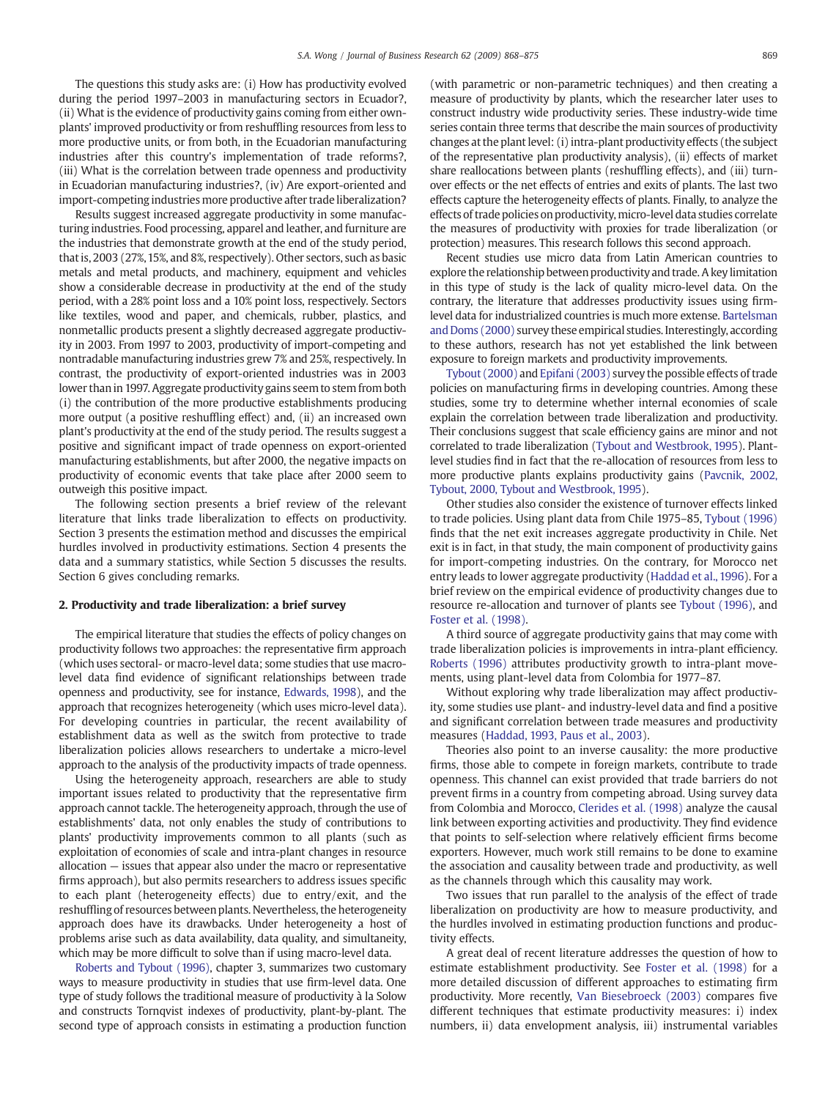The questions this study asks are: (i) How has productivity evolved during the period 1997–2003 in manufacturing sectors in Ecuador?, (ii) What is the evidence of productivity gains coming from either ownplants' improved productivity or from reshuffling resources from less to more productive units, or from both, in the Ecuadorian manufacturing industries after this country's implementation of trade reforms?, (iii) What is the correlation between trade openness and productivity in Ecuadorian manufacturing industries?, (iv) Are export-oriented and import-competing industries more productive after trade liberalization?

Results suggest increased aggregate productivity in some manufacturing industries. Food processing, apparel and leather, and furniture are the industries that demonstrate growth at the end of the study period, that is, 2003 (27%,15%, and 8%, respectively). Other sectors, such as basic metals and metal products, and machinery, equipment and vehicles show a considerable decrease in productivity at the end of the study period, with a 28% point loss and a 10% point loss, respectively. Sectors like textiles, wood and paper, and chemicals, rubber, plastics, and nonmetallic products present a slightly decreased aggregate productivity in 2003. From 1997 to 2003, productivity of import-competing and nontradable manufacturing industries grew 7% and 25%, respectively. In contrast, the productivity of export-oriented industries was in 2003 lower than in 1997. Aggregate productivity gains seem to stem from both (i) the contribution of the more productive establishments producing more output (a positive reshuffling effect) and, (ii) an increased own plant's productivity at the end of the study period. The results suggest a positive and significant impact of trade openness on export-oriented manufacturing establishments, but after 2000, the negative impacts on productivity of economic events that take place after 2000 seem to outweigh this positive impact.

The following section presents a brief review of the relevant literature that links trade liberalization to effects on productivity. Section 3 presents the estimation method and discusses the empirical hurdles involved in productivity estimations. Section 4 presents the data and a summary statistics, while Section 5 discusses the results. Section 6 gives concluding remarks.

### 2. Productivity and trade liberalization: a brief survey

The empirical literature that studies the effects of policy changes on productivity follows two approaches: the representative firm approach (which uses sectoral- or macro-level data; some studies that use macrolevel data find evidence of significant relationships between trade openness and productivity, see for instance, [Edwards, 1998](#page--1-0)), and the approach that recognizes heterogeneity (which uses micro-level data). For developing countries in particular, the recent availability of establishment data as well as the switch from protective to trade liberalization policies allows researchers to undertake a micro-level approach to the analysis of the productivity impacts of trade openness.

Using the heterogeneity approach, researchers are able to study important issues related to productivity that the representative firm approach cannot tackle. The heterogeneity approach, through the use of establishments' data, not only enables the study of contributions to plants' productivity improvements common to all plants (such as exploitation of economies of scale and intra-plant changes in resource allocation — issues that appear also under the macro or representative firms approach), but also permits researchers to address issues specific to each plant (heterogeneity effects) due to entry/exit, and the reshuffling of resources between plants. Nevertheless, the heterogeneity approach does have its drawbacks. Under heterogeneity a host of problems arise such as data availability, data quality, and simultaneity, which may be more difficult to solve than if using macro-level data.

[Roberts and Tybout \(1996\)](#page--1-0), chapter 3, summarizes two customary ways to measure productivity in studies that use firm-level data. One type of study follows the traditional measure of productivity à la Solow and constructs Tornqvist indexes of productivity, plant-by-plant. The second type of approach consists in estimating a production function (with parametric or non-parametric techniques) and then creating a measure of productivity by plants, which the researcher later uses to construct industry wide productivity series. These industry-wide time series contain three terms that describe the main sources of productivity changes at the plant level: (i) intra-plant productivity effects (the subject of the representative plan productivity analysis), (ii) effects of market share reallocations between plants (reshuffling effects), and (iii) turnover effects or the net effects of entries and exits of plants. The last two effects capture the heterogeneity effects of plants. Finally, to analyze the effects of trade policies on productivity, micro-level data studies correlate the measures of productivity with proxies for trade liberalization (or protection) measures. This research follows this second approach.

Recent studies use micro data from Latin American countries to explore the relationship between productivity and trade. A key limitation in this type of study is the lack of quality micro-level data. On the contrary, the literature that addresses productivity issues using firmlevel data for industrialized countries is much more extense. [Bartelsman](#page--1-0) [and Doms \(2000\)](#page--1-0) survey these empirical studies. Interestingly, according to these authors, research has not yet established the link between exposure to foreign markets and productivity improvements.

[Tybout \(2000\)](#page--1-0) and [Epifani \(2003\)](#page--1-0) survey the possible effects of trade policies on manufacturing firms in developing countries. Among these studies, some try to determine whether internal economies of scale explain the correlation between trade liberalization and productivity. Their conclusions suggest that scale efficiency gains are minor and not correlated to trade liberalization ([Tybout and Westbrook, 1995\)](#page--1-0). Plantlevel studies find in fact that the re-allocation of resources from less to more productive plants explains productivity gains ([Pavcnik, 2002,](#page--1-0) [Tybout, 2000, Tybout and Westbrook, 1995](#page--1-0)).

Other studies also consider the existence of turnover effects linked to trade policies. Using plant data from Chile 1975–85, [Tybout \(1996\)](#page--1-0) finds that the net exit increases aggregate productivity in Chile. Net exit is in fact, in that study, the main component of productivity gains for import-competing industries. On the contrary, for Morocco net entry leads to lower aggregate productivity ([Haddad et al., 1996](#page--1-0)). For a brief review on the empirical evidence of productivity changes due to resource re-allocation and turnover of plants see [Tybout \(1996\),](#page--1-0) and [Foster et al. \(1998\).](#page--1-0)

A third source of aggregate productivity gains that may come with trade liberalization policies is improvements in intra-plant efficiency. [Roberts \(1996\)](#page--1-0) attributes productivity growth to intra-plant movements, using plant-level data from Colombia for 1977–87.

Without exploring why trade liberalization may affect productivity, some studies use plant- and industry-level data and find a positive and significant correlation between trade measures and productivity measures ([Haddad, 1993, Paus et al., 2003\)](#page--1-0).

Theories also point to an inverse causality: the more productive firms, those able to compete in foreign markets, contribute to trade openness. This channel can exist provided that trade barriers do not prevent firms in a country from competing abroad. Using survey data from Colombia and Morocco, [Clerides et al. \(1998\)](#page--1-0) analyze the causal link between exporting activities and productivity. They find evidence that points to self-selection where relatively efficient firms become exporters. However, much work still remains to be done to examine the association and causality between trade and productivity, as well as the channels through which this causality may work.

Two issues that run parallel to the analysis of the effect of trade liberalization on productivity are how to measure productivity, and the hurdles involved in estimating production functions and productivity effects.

A great deal of recent literature addresses the question of how to estimate establishment productivity. See [Foster et al. \(1998\)](#page--1-0) for a more detailed discussion of different approaches to estimating firm productivity. More recently, [Van Biesebroeck \(2003\)](#page--1-0) compares five different techniques that estimate productivity measures: i) index numbers, ii) data envelopment analysis, iii) instrumental variables